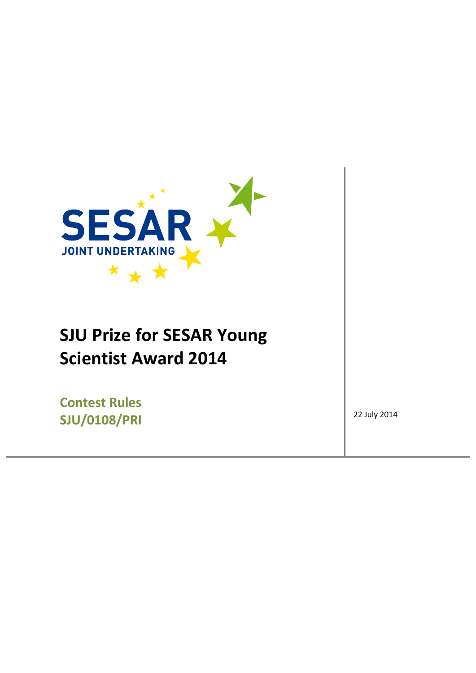

# **SJU Prize for SESAR Young Scientist Award 2014**

**Contest Rules SJU/0108/PRI** 22 July 2014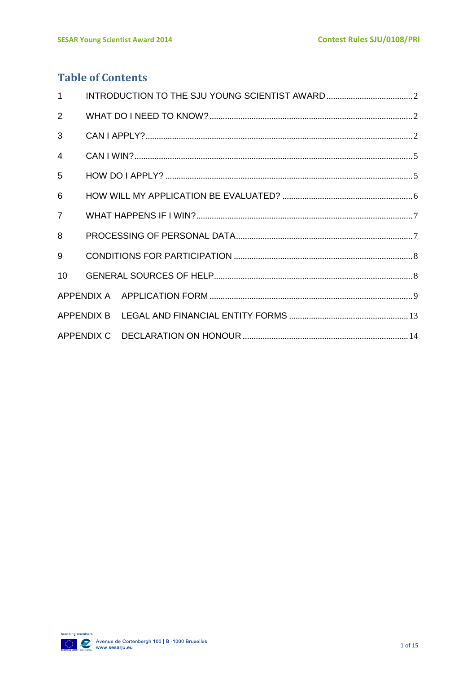# **Table of Contents**

| $\mathbf{1}$   |  |  |
|----------------|--|--|
| $\overline{2}$ |  |  |
| 3              |  |  |
| $\overline{4}$ |  |  |
| 5              |  |  |
| 6              |  |  |
| $\overline{7}$ |  |  |
| 8              |  |  |
| 9              |  |  |
| 10             |  |  |
|                |  |  |
|                |  |  |
|                |  |  |

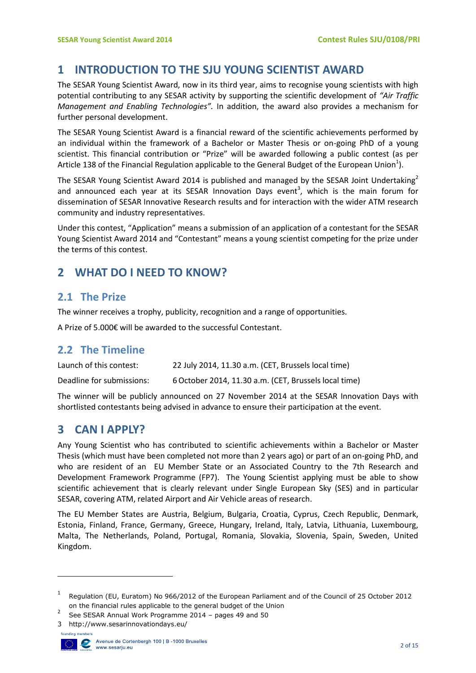### <span id="page-2-0"></span>**1 INTRODUCTION TO THE SJU YOUNG SCIENTIST AWARD**

The SESAR Young Scientist Award, now in its third year, aims to recognise young scientists with high potential contributing to any SESAR activity by supporting the scientific development of *"Air Traffic Management and Enabling Technologies".* In addition, the award also provides a mechanism for further personal development.

The SESAR Young Scientist Award is a financial reward of the scientific achievements performed by an individual within the framework of a Bachelor or Master Thesis or on-going PhD of a young scientist. This financial contribution or "Prize" will be awarded following a public contest (as per Article 138 of the Financial Regulation applicable to the General Budget of the European Union<sup>1</sup>).

The SESAR Young Scientist Award 2014 is published and managed by the SESAR Joint Undertaking<sup>2</sup> and announced each year at its SESAR Innovation Days event<sup>3</sup>, which is the main forum for dissemination of SESAR Innovative Research results and for interaction with the wider ATM research community and industry representatives.

Under this contest, "Application" means a submission of an application of a contestant for the SESAR Young Scientist Award 2014 and "Contestant" means a young scientist competing for the prize under the terms of this contest.

# <span id="page-2-1"></span>**2 WHAT DO I NEED TO KNOW?**

#### **2.1 The Prize**

The winner receives a trophy, publicity, recognition and a range of opportunities.

A Prize of 5.000€ will be awarded to the successful Contestant.

#### **2.2 The Timeline**

| Launch of this contest:   | 22 July 2014, 11.30 a.m. (CET, Brussels local time)   |
|---------------------------|-------------------------------------------------------|
| Deadline for submissions: | 6 October 2014, 11.30 a.m. (CET, Brussels local time) |

The winner will be publicly announced on 27 November 2014 at the SESAR Innovation Days with shortlisted contestants being advised in advance to ensure their participation at the event.

## <span id="page-2-2"></span>**3 CAN I APPLY?**

Any Young Scientist who has contributed to scientific achievements within a Bachelor or Master Thesis (which must have been completed not more than 2 years ago) or part of an on-going PhD, and who are resident of an EU Member State or an Associated Country to the 7th Research and Development Framework Programme (FP7). The Young Scientist applying must be able to show scientific achievement that is clearly relevant under Single European Sky (SES) and in particular SESAR, covering ATM, related Airport and Air Vehicle areas of research.

The EU Member States are Austria, Belgium, Bulgaria, Croatia, Cyprus, Czech Republic, Denmark, Estonia, Finland, France, Germany, Greece, Hungary, Ireland, Italy, Latvia, Lithuania, Luxembourg, Malta, The Netherlands, Poland, Portugal, Romania, Slovakia, Slovenia, Spain, Sweden, United Kingdom.

<sup>3</sup> http://www.sesarinnovationdays.eu/



**.** 

<sup>&</sup>lt;sup>1</sup> Regulation (EU, Euratom) No 966/2012 of the European Parliament and of the Council of 25 October 2012 on the financial rules applicable to the general budget of the Union

<sup>2</sup> See SESAR Annual Work Programme 2014 – pages 49 and 50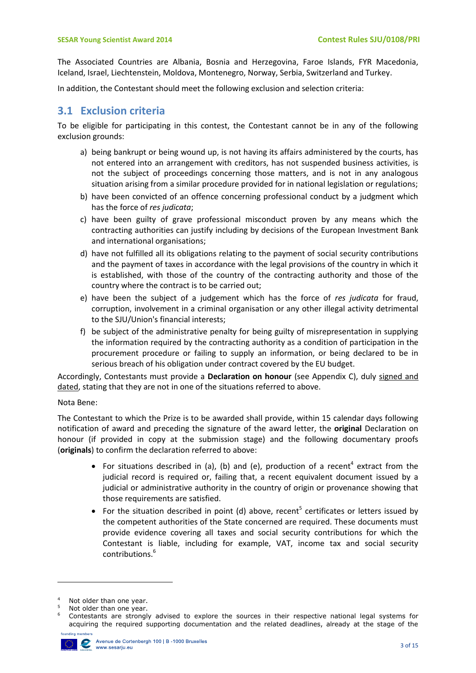The Associated Countries are Albania, Bosnia and Herzegovina, Faroe Islands, FYR Macedonia, Iceland, Israel, Liechtenstein, Moldova, Montenegro, Norway, Serbia, Switzerland and Turkey.

In addition, the Contestant should meet the following exclusion and selection criteria:

#### **3.1 Exclusion criteria**

To be eligible for participating in this contest, the Contestant cannot be in any of the following exclusion grounds:

- a) being bankrupt or being wound up, is not having its affairs administered by the courts, has not entered into an arrangement with creditors, has not suspended business activities, is not the subject of proceedings concerning those matters, and is not in any analogous situation arising from a similar procedure provided for in national legislation or regulations;
- b) have been convicted of an offence concerning professional conduct by a judgment which has the force of *res judicata*;
- c) have been guilty of grave professional misconduct proven by any means which the contracting authorities can justify including by decisions of the European Investment Bank and international organisations;
- d) have not fulfilled all its obligations relating to the payment of social security contributions and the payment of taxes in accordance with the legal provisions of the country in which it is established, with those of the country of the contracting authority and those of the country where the contract is to be carried out;
- e) have been the subject of a judgement which has the force of *res judicata* for fraud, corruption, involvement in a criminal organisation or any other illegal activity detrimental to the SJU/Union's financial interests;
- f) be subject of the administrative penalty for being guilty of misrepresentation in supplying the information required by the contracting authority as a condition of participation in the procurement procedure or failing to supply an information, or being declared to be in serious breach of his obligation under contract covered by the EU budget.

Accordingly, Contestants must provide a **Declaration on honour** (see Appendix C), duly signed and dated, stating that they are not in one of the situations referred to above.

#### Nota Bene:

The Contestant to which the Prize is to be awarded shall provide, within 15 calendar days following notification of award and preceding the signature of the award letter, the **original** Declaration on honour (if provided in copy at the submission stage) and the following documentary proofs (**originals**) to confirm the declaration referred to above:

- For situations described in (a), (b) and (e), production of a recent<sup>4</sup> extract from the judicial record is required or, failing that, a recent equivalent document issued by a judicial or administrative authority in the country of origin or provenance showing that those requirements are satisfied.
- For the situation described in point (d) above, recent<sup>5</sup> certificates or letters issued by the competent authorities of the State concerned are required. These documents must provide evidence covering all taxes and social security contributions for which the Contestant is liable, including for example, VAT, income tax and social security contributions.<sup>6</sup>

Contestants are strongly advised to explore the sources in their respective national legal systems for acquiring the required supporting documentation and the related deadlines, already at the stage of the



1

 $4$  Not older than one year.

Not older than one year.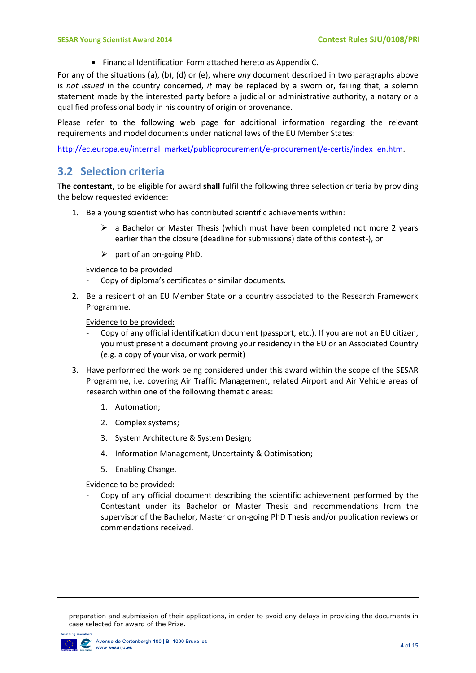Financial Identification Form attached hereto as Appendix C.

For any of the situations (a), (b), (d) or (e), where *any* document described in two paragraphs above is *not issued* in the country concerned, *it* may be replaced by a sworn or, failing that, a solemn statement made by the interested party before a judicial or administrative authority, a notary or a qualified professional body in his country of origin or provenance.

Please refer to the following web page for additional information regarding the relevant requirements and model documents under national laws of the EU Member States:

[http://ec.europa.eu/internal\\_market/publicprocurement/e-procurement/e-certis/index\\_en.htm.](http://ec.europa.eu/internal_market/publicprocurement/e-procurement/e-certis/index_en.htm)

#### **3.2 Selection criteria**

T**he contestant,** to be eligible for award **shall** fulfil the following three selection criteria by providing the below requested evidence:

- 1. Be a young scientist who has contributed scientific achievements within:
	- $\triangleright$  a Bachelor or Master Thesis (which must have been completed not more 2 years earlier than the closure (deadline for submissions) date of this contest-), or
	- $\triangleright$  part of an on-going PhD.

Evidence to be provided

- Copy of diploma's certificates or similar documents.
- 2. Be a resident of an EU Member State or a country associated to the Research Framework Programme.

Evidence to be provided:

- Copy of any official identification document (passport, etc.). If you are not an EU citizen, you must present a document proving your residency in the EU or an Associated Country (e.g. a copy of your visa, or work permit)
- 3. Have performed the work being considered under this award within the scope of the SESAR Programme, i.e. covering Air Traffic Management, related Airport and Air Vehicle areas of research within one of the following thematic areas:
	- 1. Automation;
	- 2. Complex systems;
	- 3. System Architecture & System Design;
	- 4. Information Management, Uncertainty & Optimisation;
	- 5. Enabling Change.

Evidence to be provided:

<span id="page-4-0"></span>Copy of any official document describing the scientific achievement performed by the Contestant under its Bachelor or Master Thesis and recommendations from the supervisor of the Bachelor, Master or on-going PhD Thesis and/or publication reviews or commendations received.

preparation and submission of their applications, in order to avoid any delays in providing the documents in case selected for award of the Prize.



1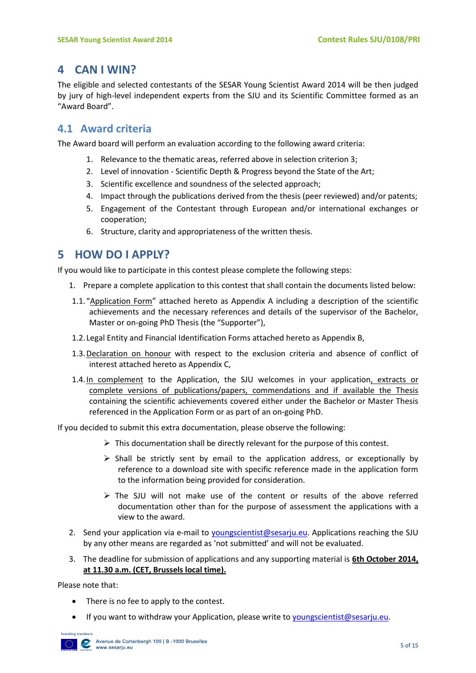## **4 CAN I WIN?**

The eligible and selected contestants of the SESAR Young Scientist Award 2014 will be then judged by jury of high-level independent experts from the SJU and its Scientific Committee formed as an "Award Board".

#### **4.1 Award criteria**

The Award board will perform an evaluation according to the following award criteria:

- 1. Relevance to the thematic areas, referred above in selection criterion 3;
- 2. Level of innovation Scientific Depth & Progress beyond the State of the Art;
- 3. Scientific excellence and soundness of the selected approach;
- 4. Impact through the publications derived from the thesis (peer reviewed) and/or patents;
- 5. Engagement of the Contestant through European and/or international exchanges or cooperation;
- 6. Structure, clarity and appropriateness of the written thesis.

## <span id="page-5-0"></span>**5 HOW DO I APPLY?**

If you would like to participate in this contest please complete the following steps:

- 1. Prepare a complete application to this contest that shall contain the documents listed below:
- 1.1. "Application Form" attached hereto as Appendix A including a description of the scientific achievements and the necessary references and details of the supervisor of the Bachelor, Master or on-going PhD Thesis (the "Supporter"),
- 1.2. Legal Entity and Financial Identification Forms attached hereto as Appendix B,
- 1.3.Declaration on honour with respect to the exclusion criteria and absence of conflict of interest attached hereto as Appendix C,
- 1.4. In complement to the Application, the SJU welcomes in your application, extracts or complete versions of publications/papers, commendations and if available the Thesis containing the scientific achievements covered either under the Bachelor or Master Thesis referenced in the Application Form or as part of an on-going PhD.

If you decided to submit this extra documentation, please observe the following:

- $\triangleright$  This documentation shall be directly relevant for the purpose of this contest.
- $\triangleright$  Shall be strictly sent by email to the application address, or exceptionally by reference to a download site with specific reference made in the application form to the information being provided for consideration.
- $\triangleright$  The SJU will not make use of the content or results of the above referred documentation other than for the purpose of assessment the applications with a view to the award.
- 2. Send your application via e-mail to [youngscientist@sesarju.eu.](mailto:youngscientist@sesarju.eu) Applications reaching the SJU by any other means are regarded as 'not submitted' and will not be evaluated.
- 3. The deadline for submission of applications and any supporting material is **6th October 2014, at 11.30 a.m. (CET, Brussels local time).**

Please note that:

- There is no fee to apply to the contest.
- If you want to withdraw your Application, please write t[o youngscientist@sesarju.eu.](mailto:youngscientist@sesarju.eu)

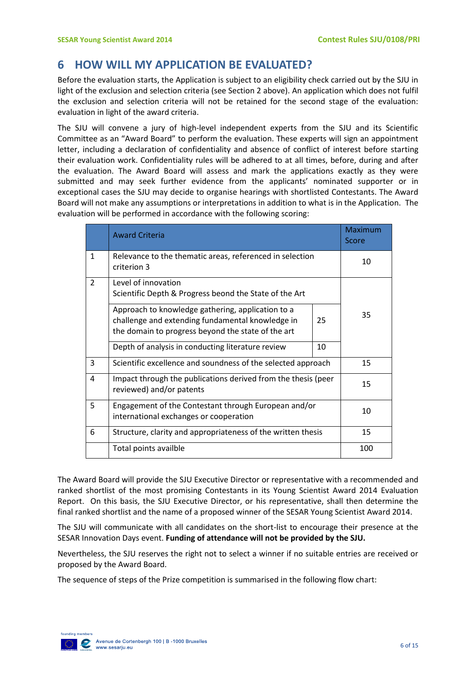# <span id="page-6-0"></span>**6 HOW WILL MY APPLICATION BE EVALUATED?**

Before the evaluation starts, the Application is subject to an eligibility check carried out by the SJU in light of the exclusion and selection criteria (see Section 2 above). An application which does not fulfil the exclusion and selection criteria will not be retained for the second stage of the evaluation: evaluation in light of the award criteria.

The SJU will convene a jury of high-level independent experts from the SJU and its Scientific Committee as an "Award Board" to perform the evaluation. These experts will sign an appointment letter, including a declaration of confidentiality and absence of conflict of interest before starting their evaluation work. Confidentiality rules will be adhered to at all times, before, during and after the evaluation. The Award Board will assess and mark the applications exactly as they were submitted and may seek further evidence from the applicants' nominated supporter or in exceptional cases the SJU may decide to organise hearings with shortlisted Contestants. The Award Board will not make any assumptions or interpretations in addition to what is in the Application. The evaluation will be performed in accordance with the following scoring:

|                | <b>Award Criteria</b>                                                                                                                                       |    | <b>Maximum</b><br>Score |
|----------------|-------------------------------------------------------------------------------------------------------------------------------------------------------------|----|-------------------------|
| $\mathbf{1}$   | Relevance to the thematic areas, referenced in selection<br>criterion 3                                                                                     |    | 10                      |
| $\overline{2}$ | Level of innovation<br>Scientific Depth & Progress beond the State of the Art                                                                               |    |                         |
|                | Approach to knowledge gathering, application to a<br>challenge and extending fundamental knowledge in<br>the domain to progress beyond the state of the art | 25 | 35                      |
|                | Depth of analysis in conducting literature review                                                                                                           | 10 |                         |
| 3              | Scientific excellence and soundness of the selected approach                                                                                                |    | 15                      |
| 4              | Impact through the publications derived from the thesis (peer<br>reviewed) and/or patents                                                                   |    | 15                      |
| 5              | Engagement of the Contestant through European and/or<br>international exchanges or cooperation                                                              |    | 10                      |
| 6              | Structure, clarity and appropriateness of the written thesis                                                                                                |    | 15                      |
|                | Total points availble                                                                                                                                       |    | 100                     |

The Award Board will provide the SJU Executive Director or representative with a recommended and ranked shortlist of the most promising Contestants in its Young Scientist Award 2014 Evaluation Report. On this basis, the SJU Executive Director, or his representative, shall then determine the final ranked shortlist and the name of a proposed winner of the SESAR Young Scientist Award 2014.

The SJU will communicate with all candidates on the short-list to encourage their presence at the SESAR Innovation Days event. **Funding of attendance will not be provided by the SJU.**

Nevertheless, the SJU reserves the right not to select a winner if no suitable entries are received or proposed by the Award Board.

The sequence of steps of the Prize competition is summarised in the following flow chart:

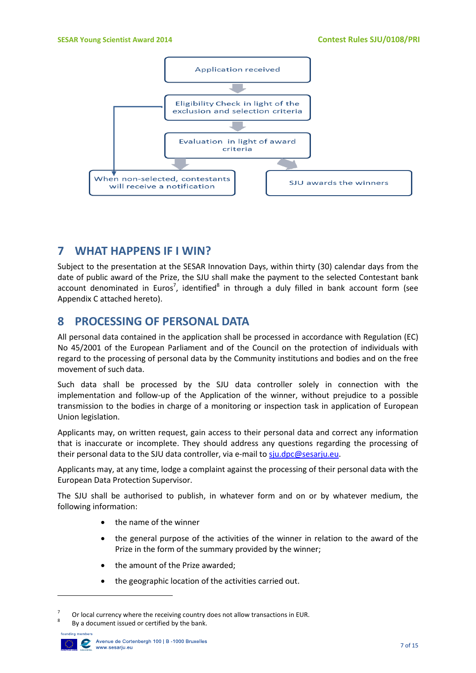

### <span id="page-7-0"></span>**7 WHAT HAPPENS IF I WIN?**

Subject to the presentation at the SESAR Innovation Days, within thirty (30) calendar days from the date of public award of the Prize, the SJU shall make the payment to the selected Contestant bank account denominated in Euros<sup>7</sup>, identified<sup>8</sup> in through a duly filled in bank account form (see Appendix C attached hereto).

### <span id="page-7-1"></span>**8 PROCESSING OF PERSONAL DATA**

All personal data contained in the application shall be processed in accordance with Regulation (EC) No 45/2001 of the European Parliament and of the Council on the protection of individuals with regard to the processing of personal data by the Community institutions and bodies and on the free movement of such data.

Such data shall be processed by the SJU data controller solely in connection with the implementation and follow-up of the Application of the winner, without prejudice to a possible transmission to the bodies in charge of a monitoring or inspection task in application of European Union legislation.

Applicants may, on written request, gain access to their personal data and correct any information that is inaccurate or incomplete. They should address any questions regarding the processing of their personal data to the SJU data controller, via e-mail t[o sju.dpc@sesarju.eu.](mailto:sju.dpc@sesarju.eu)

Applicants may, at any time, lodge a complaint against the processing of their personal data with the European Data Protection Supervisor.

The SJU shall be authorised to publish, in whatever form and on or by whatever medium, the following information:

- the name of the winner
- the general purpose of the activities of the winner in relation to the award of the Prize in the form of the summary provided by the winner;
- the amount of the Prize awarded;
- the geographic location of the activities carried out.

By a document issued or certified by the bank.



 $\overline{a}$ 

<sup>7</sup> Or local currency where the receiving country does not allow transactions in EUR. 8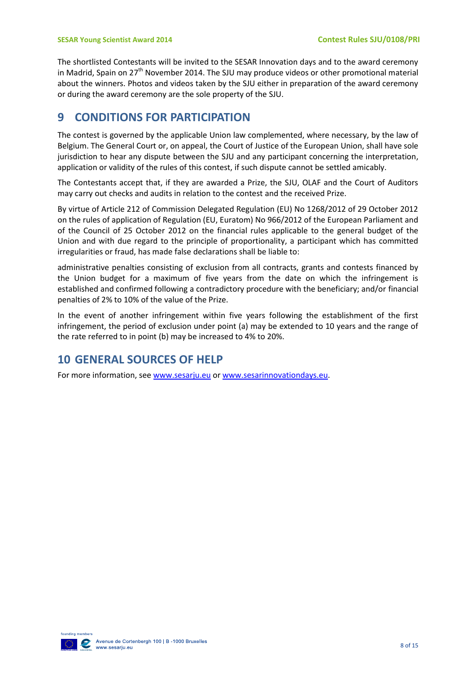The shortlisted Contestants will be invited to the SESAR Innovation days and to the award ceremony in Madrid, Spain on 27<sup>th</sup> November 2014. The SJU may produce videos or other promotional material about the winners. Photos and videos taken by the SJU either in preparation of the award ceremony or during the award ceremony are the sole property of the SJU.

# <span id="page-8-0"></span>**9 CONDITIONS FOR PARTICIPATION**

The contest is governed by the applicable Union law complemented, where necessary, by the law of Belgium. The General Court or, on appeal, the Court of Justice of the European Union, shall have sole jurisdiction to hear any dispute between the SJU and any participant concerning the interpretation, application or validity of the rules of this contest, if such dispute cannot be settled amicably.

The Contestants accept that, if they are awarded a Prize, the SJU, OLAF and the Court of Auditors may carry out checks and audits in relation to the contest and the received Prize.

By virtue of Article 212 of Commission Delegated Regulation (EU) No 1268/2012 of 29 October 2012 on the rules of application of Regulation (EU, Euratom) No 966/2012 of the European Parliament and of the Council of 25 October 2012 on the financial rules applicable to the general budget of the Union and with due regard to the principle of proportionality, a participant which has committed irregularities or fraud, has made false declarations shall be liable to:

administrative penalties consisting of exclusion from all contracts, grants and contests financed by the Union budget for a maximum of five years from the date on which the infringement is established and confirmed following a contradictory procedure with the beneficiary; and/or financial penalties of 2% to 10% of the value of the Prize.

In the event of another infringement within five years following the establishment of the first infringement, the period of exclusion under point (a) may be extended to 10 years and the range of the rate referred to in point (b) may be increased to 4% to 20%.

# <span id="page-8-1"></span>**10 GENERAL SOURCES OF HELP**

For more information, se[e www.sesarju.eu](http://www.sesarju.eu/) or [www.sesarinnovationdays.eu.](http://www.sesarinnovationdays.eu/)

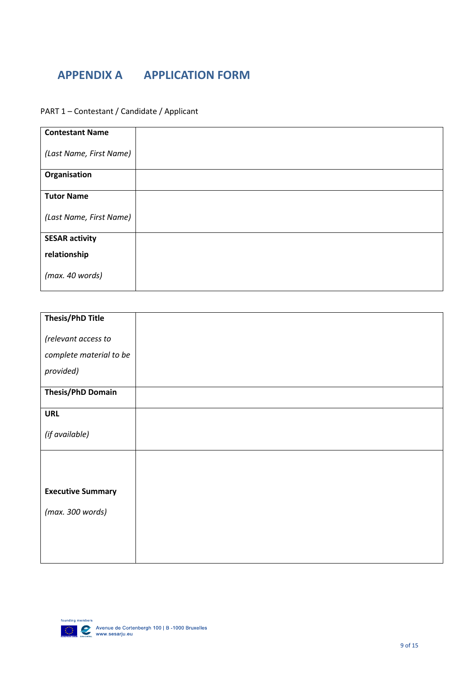# <span id="page-9-0"></span>**APPENDIX A APPLICATION FORM**

PART 1 – Contestant / Candidate / Applicant

| <b>Contestant Name</b>  |  |
|-------------------------|--|
|                         |  |
|                         |  |
|                         |  |
| (Last Name, First Name) |  |
|                         |  |
|                         |  |
|                         |  |
|                         |  |
| Organisation            |  |
|                         |  |
|                         |  |
|                         |  |
| <b>Tutor Name</b>       |  |
|                         |  |
|                         |  |
|                         |  |
| (Last Name, First Name) |  |
|                         |  |
|                         |  |
|                         |  |
| <b>SESAR activity</b>   |  |
|                         |  |
|                         |  |
| relationship            |  |
|                         |  |
|                         |  |
|                         |  |
| (max. 40 words)         |  |
|                         |  |
|                         |  |
|                         |  |

| <b>Thesis/PhD Title</b>  |  |
|--------------------------|--|
| (relevant access to      |  |
|                          |  |
| complete material to be  |  |
| provided)                |  |
|                          |  |
| <b>Thesis/PhD Domain</b> |  |
| <b>URL</b>               |  |
|                          |  |
| (if available)           |  |
|                          |  |
|                          |  |
|                          |  |
| <b>Executive Summary</b> |  |
| (max. 300 words)         |  |
|                          |  |
|                          |  |
|                          |  |
|                          |  |

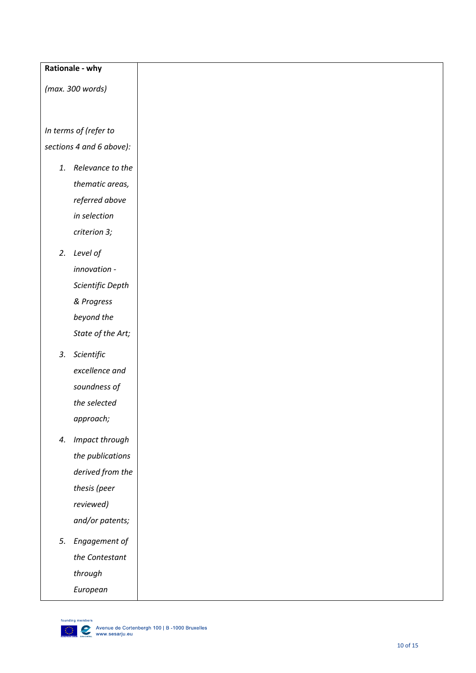#### **Rationale - why**

*(max. 300 words)*

*In terms of (refer to section s [4](#page-4-0) and 6 above) :*

- *1. Relevance to the thematic areas, referred above in selection criterion 3;*
- *2. Level of innovation - Scientific Depth & Progress beyond the State of the Art;*
- *3. Scientific excellence and soundness of the selected approach;*
- *4. Impact through the publications derived from the thesis (peer reviewed) and/or patents;*
- *5. Engagement of the Contestant through European*

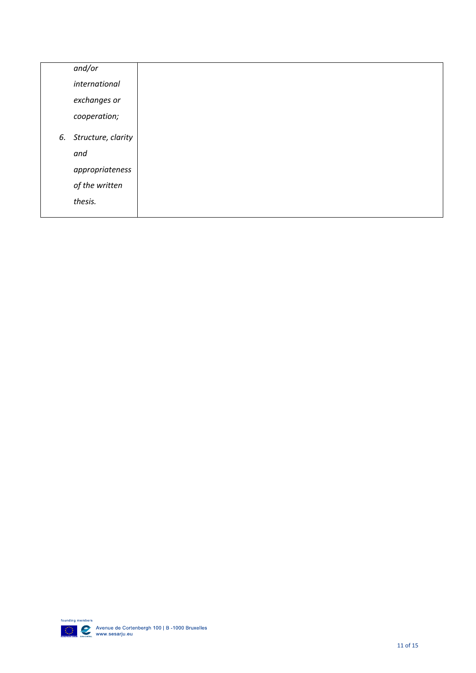| and/or                |
|-----------------------|
| international         |
| exchanges or          |
| cooperation;          |
|                       |
| 6. Structure, clarity |
| and                   |
| appropriateness       |
| of the written        |
| thesis.               |
|                       |

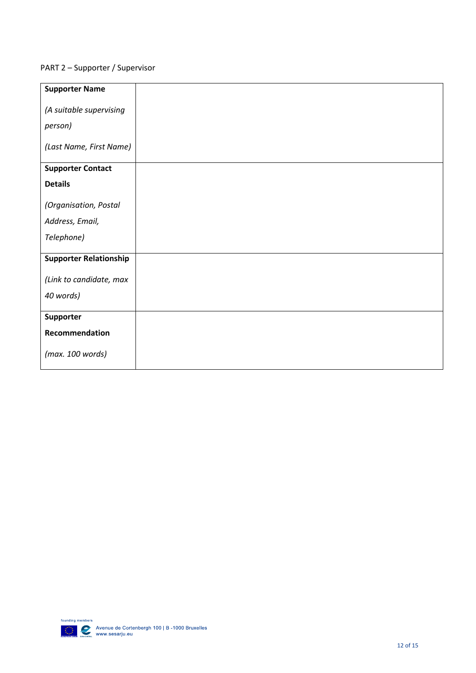#### PART 2 – Supporter / Supervisor

| <b>Supporter Name</b>         |  |
|-------------------------------|--|
|                               |  |
| (A suitable supervising       |  |
|                               |  |
| person)                       |  |
|                               |  |
| (Last Name, First Name)       |  |
|                               |  |
| <b>Supporter Contact</b>      |  |
|                               |  |
| <b>Details</b>                |  |
|                               |  |
| (Organisation, Postal         |  |
|                               |  |
| Address, Email,               |  |
| Telephone)                    |  |
|                               |  |
|                               |  |
| <b>Supporter Relationship</b> |  |
|                               |  |
| (Link to candidate, max       |  |
| 40 words)                     |  |
|                               |  |
|                               |  |
| Supporter                     |  |
| Recommendation                |  |
|                               |  |
| (max. 100 words)              |  |
|                               |  |
|                               |  |

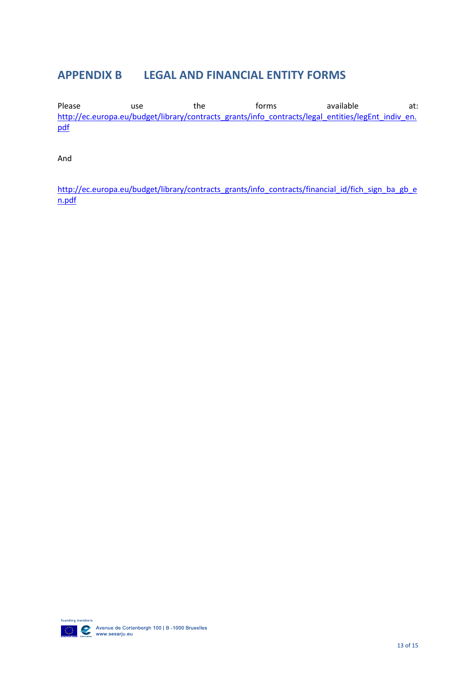# <span id="page-13-0"></span>**APPENDIX B LEGAL AND FINANCIAL ENTITY FORMS**

Please and use the forms available at: [http://ec.europa.eu/budget/library/contracts\\_grants/info\\_contracts/legal\\_entities/legEnt\\_indiv\\_en.](http://ec.europa.eu/budget/library/contracts_grants/info_contracts/legal_entities/legEnt_indiv_en.pdf) [pdf](http://ec.europa.eu/budget/library/contracts_grants/info_contracts/legal_entities/legEnt_indiv_en.pdf)

And

[http://ec.europa.eu/budget/library/contracts\\_grants/info\\_contracts/financial\\_id/fich\\_sign\\_ba\\_gb\\_e](http://ec.europa.eu/budget/library/contracts_grants/info_contracts/financial_id/fich_sign_ba_gb_en.pdf) [n.pdf](http://ec.europa.eu/budget/library/contracts_grants/info_contracts/financial_id/fich_sign_ba_gb_en.pdf)

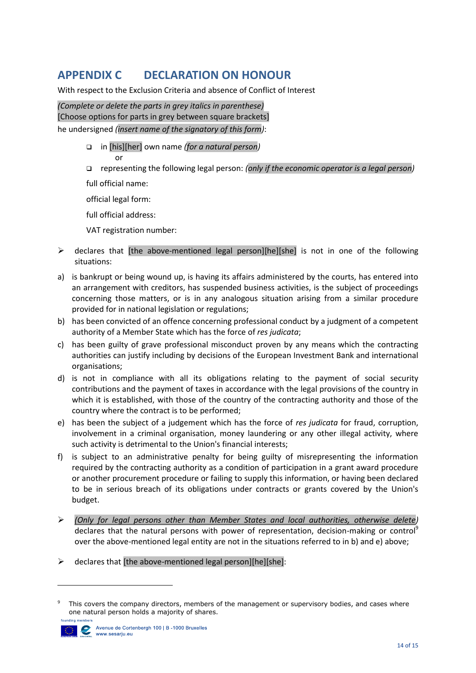# <span id="page-14-0"></span>**APPENDIX C DECLARATION ON HONOUR**

With respect to the Exclusion Criteria and absence of Conflict of Interest

*(Complete or delete the parts in grey italics in parenthese)* [Choose options for parts in grey between square brackets] he undersigned *(insert name of the signatory of this form)*:

- in [his][her] own name *(for a natural person)*
- or representing the following legal person: *(only if the economic operator is a legal person)*

full official name:

official legal form:

full official address:

VAT registration number:

- $\triangleright$  declares that [the above-mentioned legal person][he][she] is not in one of the following situations:
- a) is bankrupt or being wound up, is having its affairs administered by the courts, has entered into an arrangement with creditors, has suspended business activities, is the subject of proceedings concerning those matters, or is in any analogous situation arising from a similar procedure provided for in national legislation or regulations;
- b) has been convicted of an offence concerning professional conduct by a judgment of a competent authority of a Member State which has the force of *res judicata*;
- c) has been guilty of grave professional misconduct proven by any means which the contracting authorities can justify including by decisions of the European Investment Bank and international organisations;
- d) is not in compliance with all its obligations relating to the payment of social security contributions and the payment of taxes in accordance with the legal provisions of the country in which it is established, with those of the country of the contracting authority and those of the country where the contract is to be performed;
- e) has been the subject of a judgement which has the force of *res judicata* for fraud, corruption, involvement in a criminal organisation, money laundering or any other illegal activity, where such activity is detrimental to the Union's financial interests;
- f) is subject to an administrative penalty for being guilty of misrepresenting the information required by the contracting authority as a condition of participation in a grant award procedure or another procurement procedure or failing to supply this information, or having been declared to be in serious breach of its obligations under contracts or grants covered by the Union's budget.
- *(Only for legal persons other than Member States and local authorities, otherwise delete)* declares that the natural persons with power of representation, decision-making or control<sup>9</sup> over the above-mentioned legal entity are not in the situations referred to in b) and e) above;
- $\triangleright$  declares that [the above-mentioned legal person][he][she]:

<sup>&</sup>lt;sup>9</sup> This covers the company directors, members of the management or supervisory bodies, and cases where one natural person holds a majority of shares. founding members



**.**